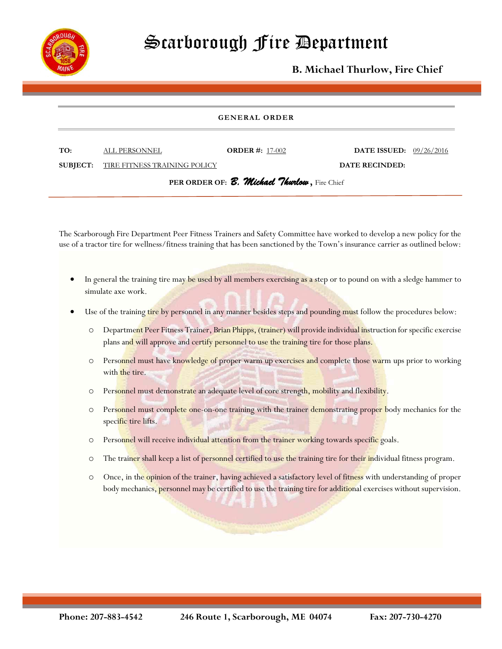

## Scarborough Fire Department

**B. Michael Thurlow, Fire Chief**

## **GENERAL ORDER**

| TO: | ALL PERSONNEL                                | <b>ORDER</b> #: $17-002$ | <b>DATE ISSUED:</b> $09/26/2016$ |  |
|-----|----------------------------------------------|--------------------------|----------------------------------|--|
|     | <b>SUBJECT:</b> TIRE FITNESS TRAINING POLICY |                          | DATE RECINDED:                   |  |

**PER ORDER OF:** *B. Michael Thurlow* **,** Fire Chief

The Scarborough Fire Department Peer Fitness Trainers and Safety Committee have worked to develop a new policy for the use of a tractor tire for wellness/fitness training that has been sanctioned by the Town's insurance carrier as outlined below:

- In general the training tire may be used by all members exercising as a step or to pound on with a sledge hammer to simulate axe work.
- Use of the training tire by personnel in any manner besides steps and pounding must follow the procedures below:
	- o Department Peer Fitness Trainer, Brian Phipps, (trainer) will provide individual instruction for specific exercise plans and will approve and certify personnel to use the training tire for those plans.
	- $\circ$  Personnel must have knowledge of proper warm up exercises and complete those warm ups prior to working with the tire.
	- o Personnel must demonstrate an adequate level of core strength, mobility and flexibility.
	- O Personnel must complete one-on-one training with the trainer demonstrating proper body mechanics for the specific tire lifts.
	- o Personnel will receive individual attention from the trainer working towards specific goals.
	- O The trainer shall keep a list of personnel certified to use the training tire for their individual fitness program.
	- o Once, in the opinion of the trainer, having achieved a satisfactory level of fitness with understanding of proper body mechanics, personnel may be certified to use the training tire for additional exercises without supervision.